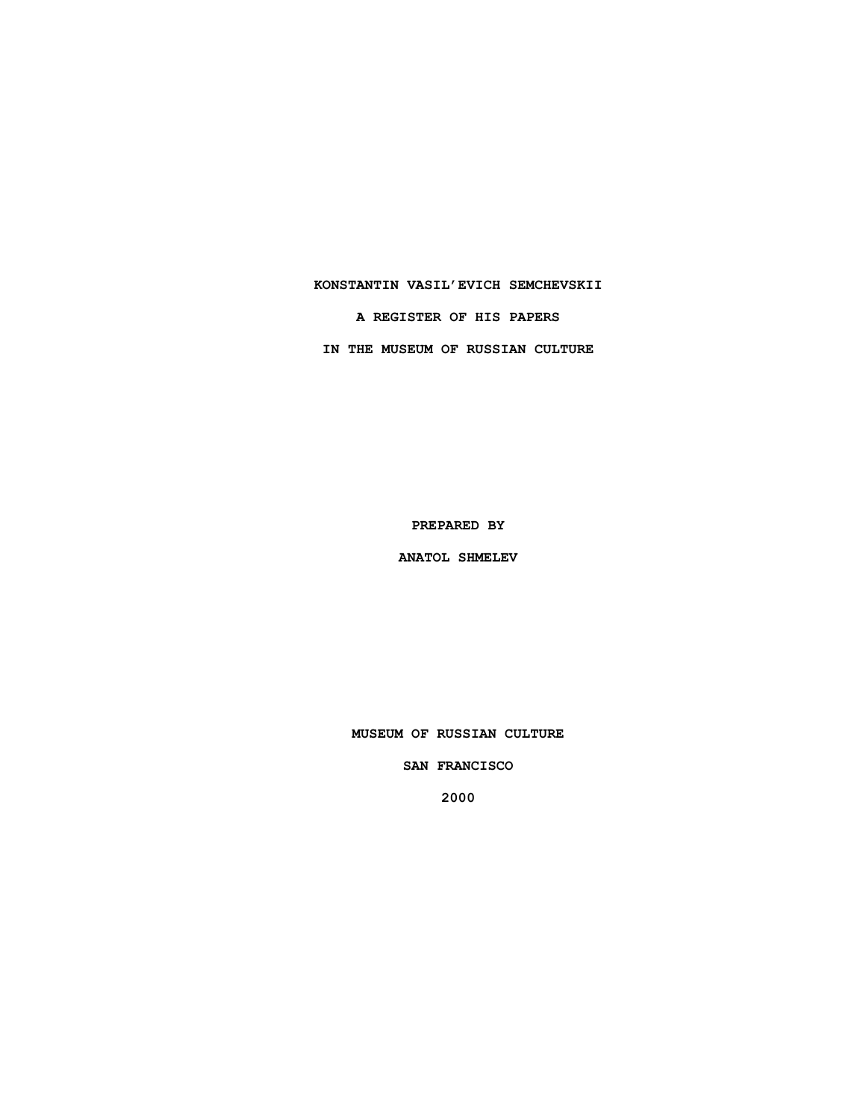# **KONSTANTIN VASIL'EVICH SEMCHEVSKII**

**A REGISTER OF HIS PAPERS**

**IN THE MUSEUM OF RUSSIAN CULTURE**

**PREPARED BY**

**ANATOL SHMELEV**

**MUSEUM OF RUSSIAN CULTURE**

**SAN FRANCISCO**

**2000**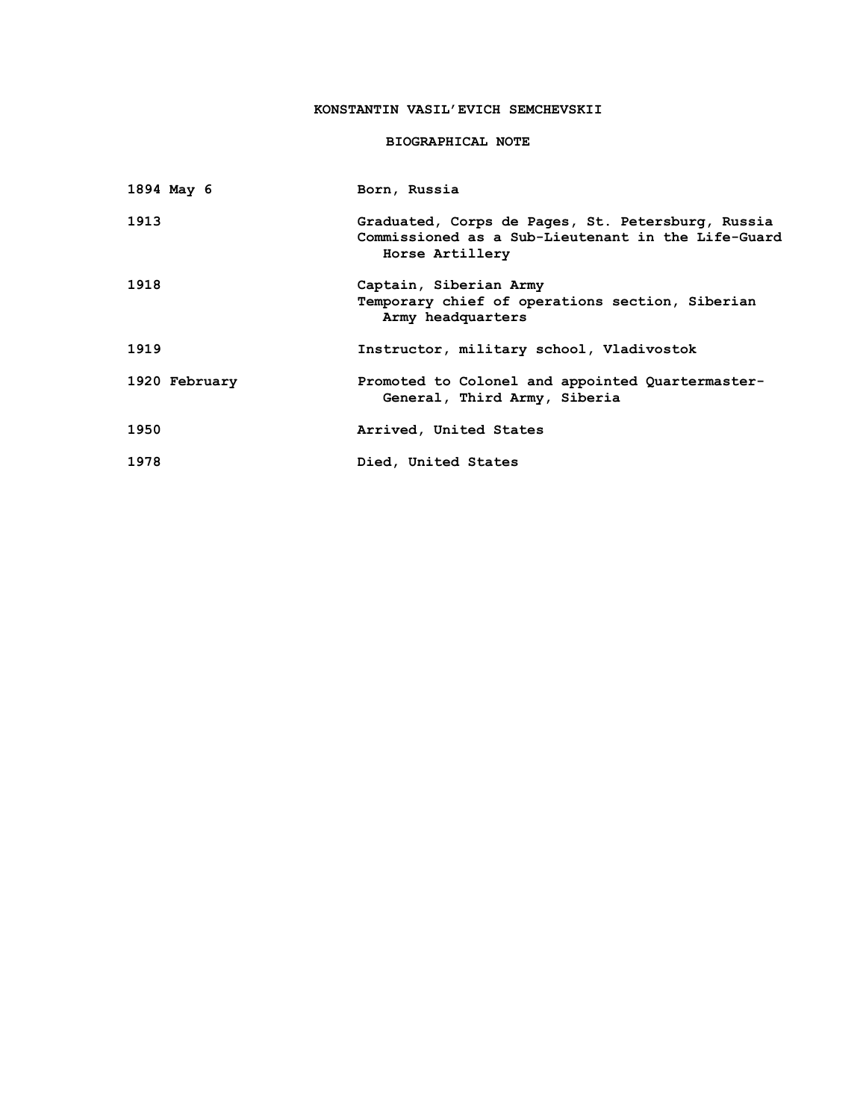# **KONSTANTIN VASIL'EVICH SEMCHEVSKII**

# **BIOGRAPHICAL NOTE**

| 1894 May 6    | Born, Russia                                                                                                               |
|---------------|----------------------------------------------------------------------------------------------------------------------------|
| 1913          | Graduated, Corps de Pages, St. Petersburg, Russia<br>Commissioned as a Sub-Lieutenant in the Life-Guard<br>Horse Artillery |
| 1918          | Captain, Siberian Army<br>Temporary chief of operations section, Siberian<br>Army headquarters                             |
| 1919          | Instructor, military school, Vladivostok                                                                                   |
| 1920 February | Promoted to Colonel and appointed Quartermaster-<br>General, Third Army, Siberia                                           |
| 1950          | Arrived, United States                                                                                                     |
| 1978          | Died, United States                                                                                                        |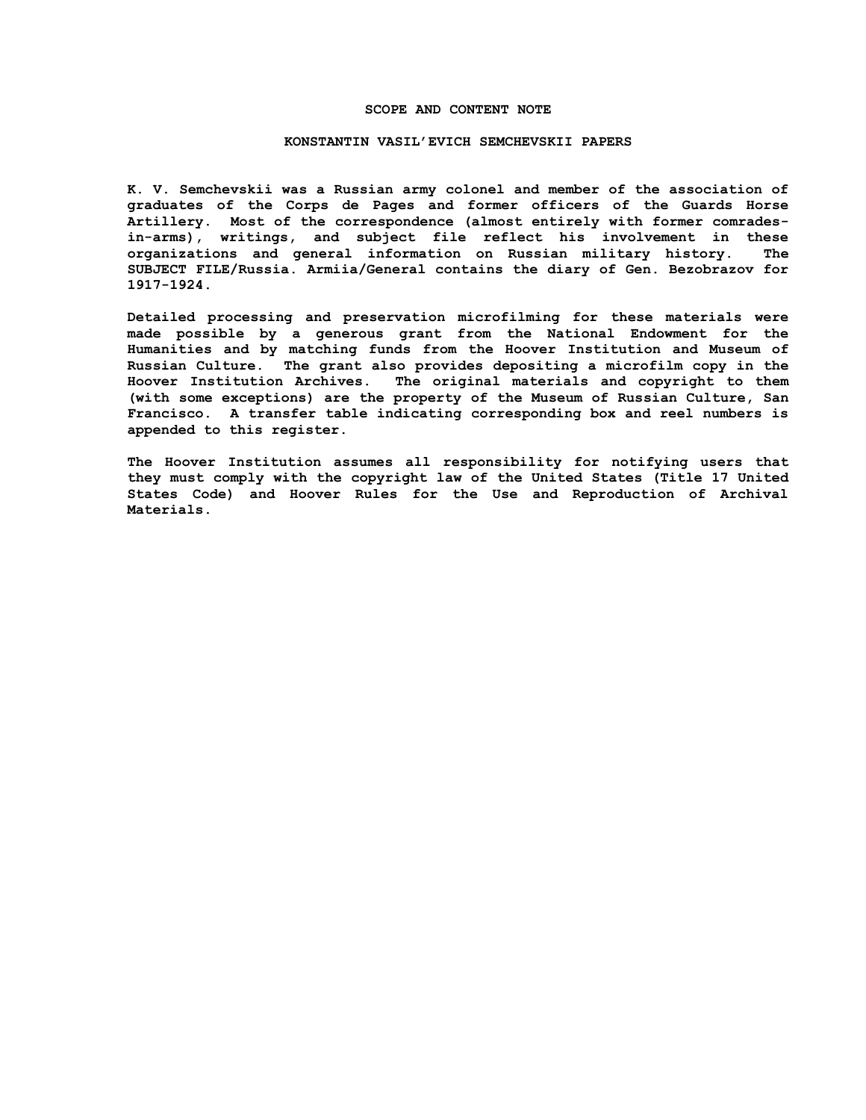#### **SCOPE AND CONTENT NOTE**

#### **KONSTANTIN VASIL'EVICH SEMCHEVSKII PAPERS**

**K. V. Semchevskii was a Russian army colonel and member of the association of graduates of the Corps de Pages and former officers of the Guards Horse Artillery. Most of the correspondence (almost entirely with former comradesin-arms), writings, and subject file reflect his involvement in these organizations and general information on Russian military history. The SUBJECT FILE/Russia. Armiia/General contains the diary of Gen. Bezobrazov for 1917-1924.**

**Detailed processing and preservation microfilming for these materials were made possible by a generous grant from the National Endowment for the Humanities and by matching funds from the Hoover Institution and Museum of Russian Culture. The grant also provides depositing a microfilm copy in the Hoover Institution Archives. The original materials and copyright to them (with some exceptions) are the property of the Museum of Russian Culture, San Francisco. A transfer table indicating corresponding box and reel numbers is appended to this register.**

**The Hoover Institution assumes all responsibility for notifying users that they must comply with the copyright law of the United States (Title 17 United States Code) and Hoover Rules for the Use and Reproduction of Archival Materials.**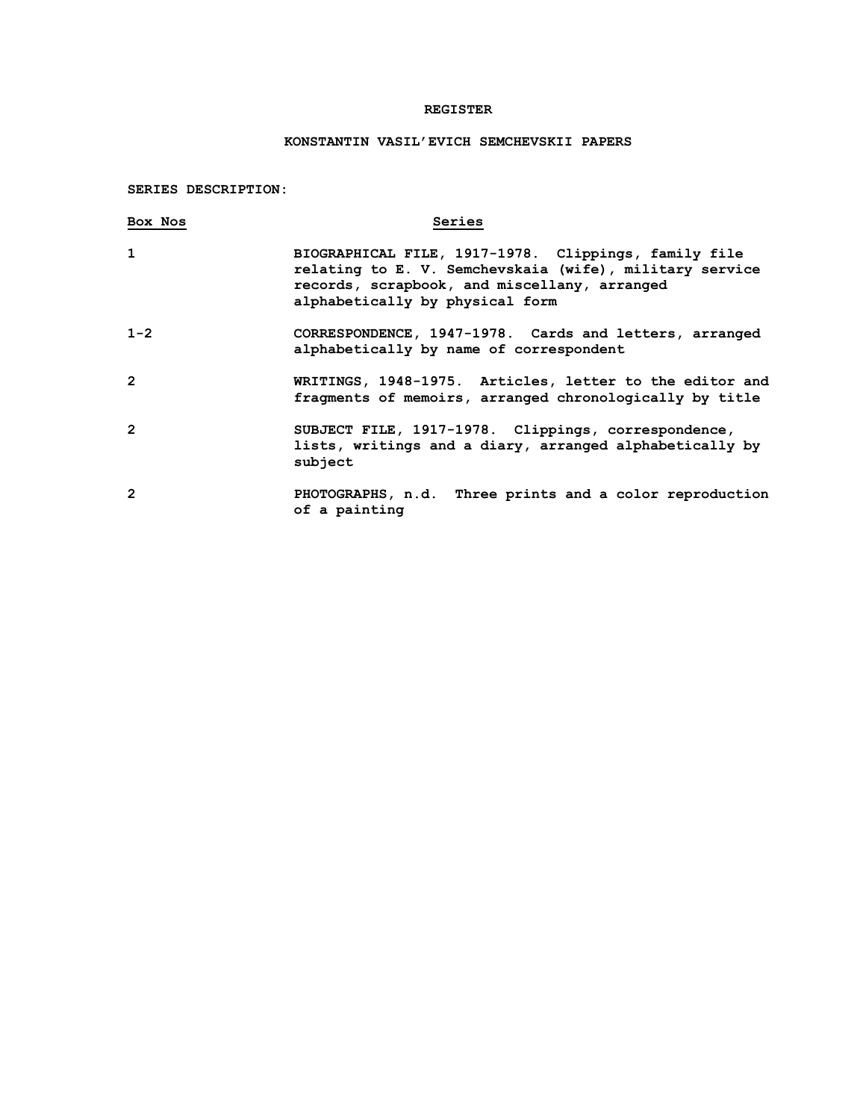# **REGISTER**

# **KONSTANTIN VASIL'EVICH SEMCHEVSKII PAPERS**

**SERIES DESCRIPTION:**

| Box Nos        | Series                                                                                                                                                                                             |
|----------------|----------------------------------------------------------------------------------------------------------------------------------------------------------------------------------------------------|
| $\mathbf{1}$   | BIOGRAPHICAL FILE, 1917-1978. Clippings, family file<br>relating to E. V. Semchevskaia (wife), military service<br>records, scrapbook, and miscellany, arranged<br>alphabetically by physical form |
| $1 - 2$        | CORRESPONDENCE, 1947-1978. Cards and letters, arranged<br>alphabetically by name of correspondent                                                                                                  |
| $\mathfrak{p}$ | WRITINGS, 1948-1975. Articles, letter to the editor and<br>fragments of memoirs, arranged chronologically by title                                                                                 |
| $\overline{2}$ | SUBJECT FILE, 1917-1978. Clippings, correspondence,<br>lists, writings and a diary, arranged alphabetically by<br>subject                                                                          |
| $\overline{2}$ | PHOTOGRAPHS, n.d. Three prints and a color reproduction<br>of a painting                                                                                                                           |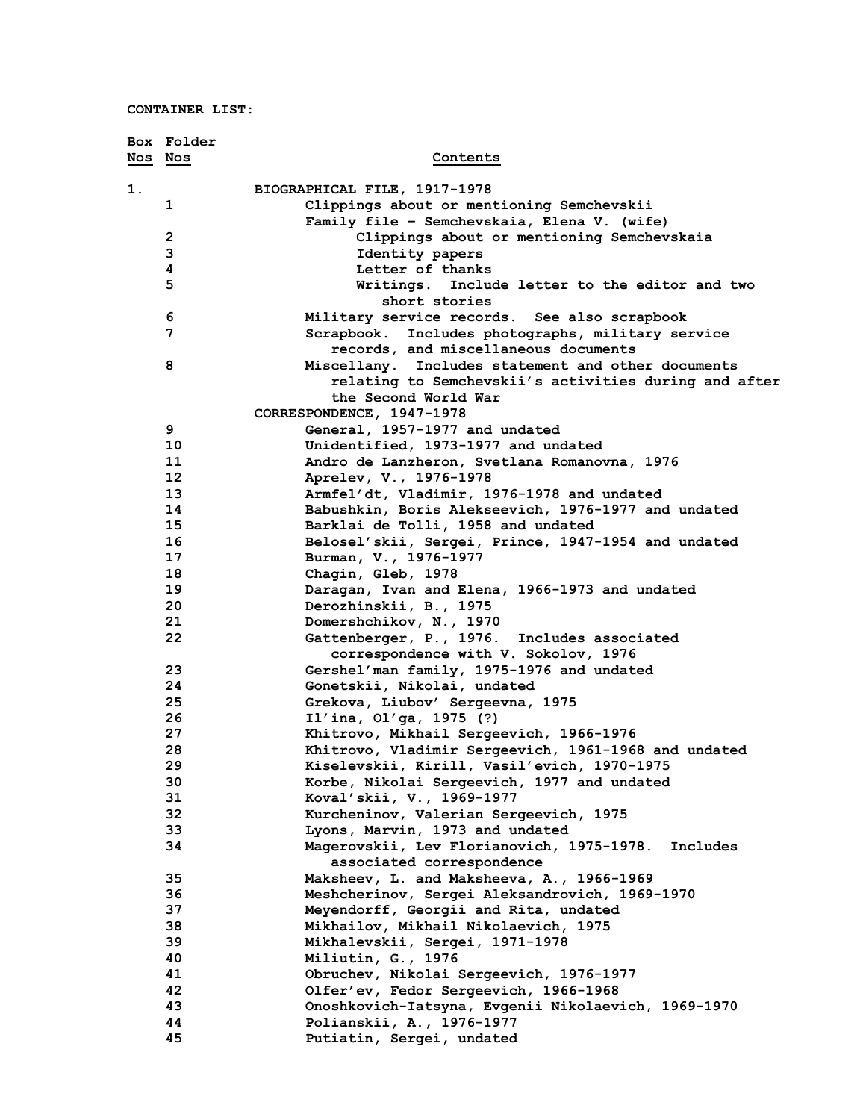|         | Box Folder      |                                                                        |
|---------|-----------------|------------------------------------------------------------------------|
| Nos Nos |                 | Contents                                                               |
| 1.      |                 | BIOGRAPHICAL FILE, 1917-1978                                           |
|         | 1               | Clippings about or mentioning Semchevskii                              |
|         |                 | Family file - Semchevskaia, Elena V. (wife)                            |
|         | $\overline{2}$  | Clippings about or mentioning Semchevskaia                             |
|         | 3               | Identity papers                                                        |
|         | 4               | Letter of thanks                                                       |
|         | 5               | Writings. Include letter to the editor and two                         |
|         |                 | short stories                                                          |
|         | 6               | Military service records. See also scrapbook                           |
|         | 7               | Includes photographs, military service<br>Scrapbook.                   |
|         |                 | records, and miscellaneous documents                                   |
|         | 8               | Miscellany. Includes statement and other documents                     |
|         |                 | relating to Semchevskii's activities during and after                  |
|         |                 | the Second World War                                                   |
|         |                 | CORRESPONDENCE, 1947-1978                                              |
|         | 9               | General, 1957-1977 and undated                                         |
|         | 10              | Unidentified, 1973-1977 and undated                                    |
|         | 11              | Andro de Lanzheron, Svetlana Romanovna, 1976                           |
|         | 12 <sup>2</sup> | Aprelev, V., 1976-1978                                                 |
|         | 13              | Armfel'dt, Vladimir, 1976-1978 and undated                             |
|         | 14              | Babushkin, Boris Alekseevich, 1976-1977 and undated                    |
|         | 15              | Barklai de Tolli, 1958 and undated                                     |
|         | 16              | Belosel'skii, Sergei, Prince, 1947-1954 and undated                    |
|         | 17              | Burman, V., 1976-1977                                                  |
|         | 18              | Chagin, Gleb, 1978                                                     |
|         | 19              | Daragan, Ivan and Elena, 1966-1973 and undated                         |
|         | 20              | Derozhinskii, B., 1975                                                 |
|         | 21              | Domershchikov, N., 1970                                                |
|         | 22              | Gattenberger, P., 1976. Includes associated                            |
|         |                 | correspondence with V. Sokolov, 1976                                   |
|         | 23              | Gershel'man family, 1975-1976 and undated                              |
|         | 24              | Gonetskii, Nikolai, undated                                            |
|         | 25              | Grekova, Liubov' Sergeevna, 1975                                       |
|         | 26              | Il'ina, Ol'ga, 1975 (?)                                                |
|         | 27              | Khitrovo, Mikhail Sergeevich, 1966-1976                                |
|         | 28              | Khitrovo, Vladimir Sergeevich, 1961-1968 and undated                   |
|         | 29              | Kiselevskii, Kirill, Vasil'evich, 1970–1975                            |
|         | 30              | Korbe, Nikolai Sergeevich, 1977 and undated                            |
|         | 31              | Koval'skii, V., 1969-1977                                              |
|         | 32              | Kurcheninov, Valerian Sergeevich, 1975                                 |
|         | 33              | Lyons, Marvin, 1973 and undated                                        |
|         | 34              | Magerovskii, Lev Florianovich, 1975-1978.<br>Includes                  |
|         |                 | associated correspondence<br>Maksheev, L. and Maksheeva, A., 1966-1969 |
|         | 35              | Meshcherinov, Sergei Aleksandrovich, 1969-1970                         |
|         | 36<br>37        |                                                                        |
|         | 38              | Meyendorff, Georgii and Rita, undated                                  |
|         | 39              | Mikhailov, Mikhail Nikolaevich, 1975                                   |
|         | 40              | Mikhalevskii, Sergei, 1971-1978<br>Miliutin, G., 1976                  |
|         | 41              | Obruchev, Nikolai Sergeevich, 1976-1977                                |
|         | 42              | Olfer'ev, Fedor Sergeevich, 1966-1968                                  |
|         | 43              | Onoshkovich-Iatsyna, Evgenii Nikolaevich, 1969-1970                    |
|         | 44              | Polianskii, A., 1976-1977                                              |
|         | 45              | Putiatin, Sergei, undated                                              |
|         |                 |                                                                        |